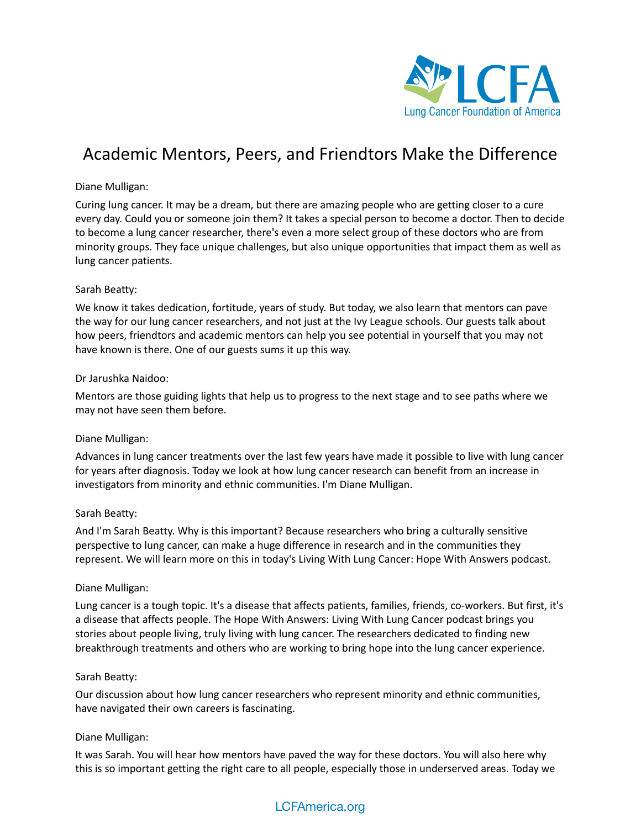

# Academic Mentors, Peers, and Friendtors Make the Difference

# Diane Mulligan:

Curing lung cancer. It may be a dream, but there are amazing people who are getting closer to a cure every day. Could you or someone join them? It takes a special person to become a doctor. Then to decide to become a lung cancer researcher, there's even a more select group of these doctors who are from minority groups. They face unique challenges, but also unique opportunities that impact them as well as lung cancer patients.

# Sarah Beatty:

We know it takes dedication, fortitude, years of study. But today, we also learn that mentors can pave the way for our lung cancer researchers, and not just at the Ivy League schools. Our guests talk about how peers, friendtors and academic mentors can help you see potential in yourself that you may not have known is there. One of our guests sums it up this way.

#### Dr Jarushka Naidoo:

Mentors are those guiding lights that help us to progress to the next stage and to see paths where we may not have seen them before.

# Diane Mulligan:

Advances in lung cancer treatments over the last few years have made it possible to live with lung cancer for years after diagnosis. Today we look at how lung cancer research can benefit from an increase in investigators from minority and ethnic communities. I'm Diane Mulligan.

# Sarah Beatty:

And I'm Sarah Beatty. Why is this important? Because researchers who bring a culturally sensitive perspective to lung cancer, can make a huge difference in research and in the communities they represent. We will learn more on this in today's Living With Lung Cancer: Hope With Answers podcast.

#### Diane Mulligan:

Lung cancer is a tough topic. It's a disease that affects patients, families, friends, co-workers. But first, it's a disease that affects people. The Hope With Answers: Living With Lung Cancer podcast brings you stories about people living, truly living with lung cancer. The researchers dedicated to finding new breakthrough treatments and others who are working to bring hope into the lung cancer experience.

#### Sarah Beatty:

Our discussion about how lung cancer researchers who represent minority and ethnic communities, have navigated their own careers is fascinating.

# Diane Mulligan:

It was Sarah. You will hear how mentors have paved the way for these doctors. You will also here why this is so important getting the right care to all people, especially those in underserved areas. Today we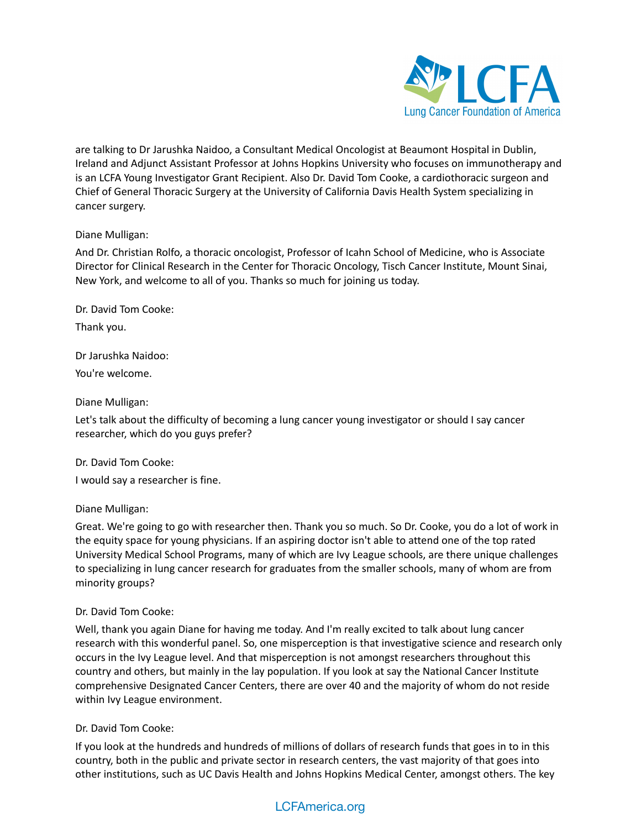

are talking to Dr Jarushka Naidoo, a Consultant Medical Oncologist at Beaumont Hospital in Dublin, Ireland and Adjunct Assistant Professor at Johns Hopkins University who focuses on immunotherapy and is an LCFA Young Investigator Grant Recipient. Also Dr. David Tom Cooke, a cardiothoracic surgeon and Chief of General Thoracic Surgery at the University of California Davis Health System specializing in cancer surgery.

# Diane Mulligan:

And Dr. Christian Rolfo, a thoracic oncologist, Professor of Icahn School of Medicine, who is Associate Director for Clinical Research in the Center for Thoracic Oncology, Tisch Cancer Institute, Mount Sinai, New York, and welcome to all of you. Thanks so much for joining us today.

Dr. David Tom Cooke: Thank you.

Dr Jarushka Naidoo: You're welcome.

#### Diane Mulligan:

Let's talk about the difficulty of becoming a lung cancer young investigator or should I say cancer researcher, which do you guys prefer?

Dr. David Tom Cooke:

I would say a researcher is fine.

# Diane Mulligan:

Great. We're going to go with researcher then. Thank you so much. So Dr. Cooke, you do a lot of work in the equity space for young physicians. If an aspiring doctor isn't able to attend one of the top rated University Medical School Programs, many of which are Ivy League schools, are there unique challenges to specializing in lung cancer research for graduates from the smaller schools, many of whom are from minority groups?

# Dr. David Tom Cooke:

Well, thank you again Diane for having me today. And I'm really excited to talk about lung cancer research with this wonderful panel. So, one misperception is that investigative science and research only occurs in the Ivy League level. And that misperception is not amongst researchers throughout this country and others, but mainly in the lay population. If you look at say the National Cancer Institute comprehensive Designated Cancer Centers, there are over 40 and the majority of whom do not reside within Ivy League environment.

# Dr. David Tom Cooke:

If you look at the hundreds and hundreds of millions of dollars of research funds that goes in to in this country, both in the public and private sector in research centers, the vast majority of that goes into other institutions, such as UC Davis Health and Johns Hopkins Medical Center, amongst others. The key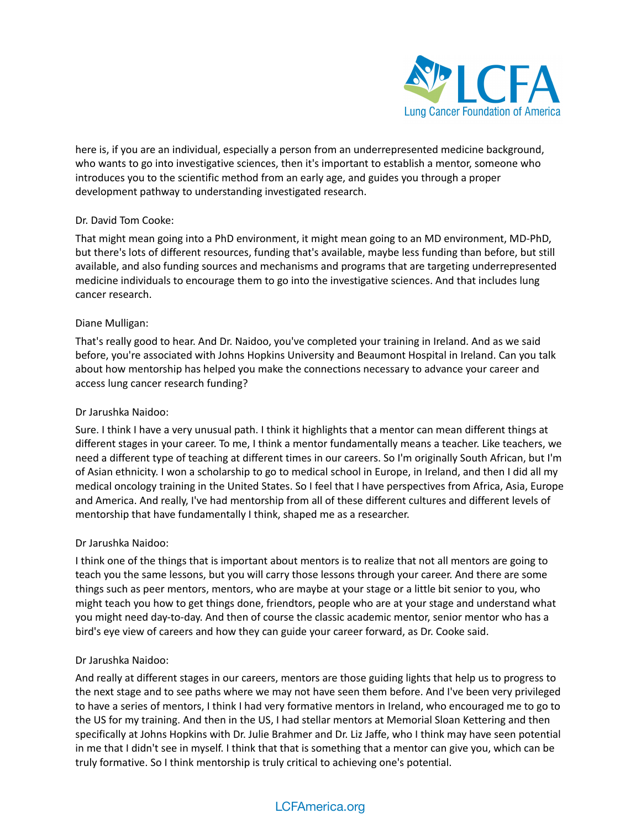

here is, if you are an individual, especially a person from an underrepresented medicine background, who wants to go into investigative sciences, then it's important to establish a mentor, someone who introduces you to the scientific method from an early age, and guides you through a proper development pathway to understanding investigated research.

# Dr. David Tom Cooke:

That might mean going into a PhD environment, it might mean going to an MD environment, MD-PhD, but there's lots of different resources, funding that's available, maybe less funding than before, but still available, and also funding sources and mechanisms and programs that are targeting underrepresented medicine individuals to encourage them to go into the investigative sciences. And that includes lung cancer research.

# Diane Mulligan:

That's really good to hear. And Dr. Naidoo, you've completed your training in Ireland. And as we said before, you're associated with Johns Hopkins University and Beaumont Hospital in Ireland. Can you talk about how mentorship has helped you make the connections necessary to advance your career and access lung cancer research funding?

# Dr Jarushka Naidoo:

Sure. I think I have a very unusual path. I think it highlights that a mentor can mean different things at different stages in your career. To me, I think a mentor fundamentally means a teacher. Like teachers, we need a different type of teaching at different times in our careers. So I'm originally South African, but I'm of Asian ethnicity. I won a scholarship to go to medical school in Europe, in Ireland, and then I did all my medical oncology training in the United States. So I feel that I have perspectives from Africa, Asia, Europe and America. And really, I've had mentorship from all of these different cultures and different levels of mentorship that have fundamentally I think, shaped me as a researcher.

# Dr Jarushka Naidoo:

I think one of the things that is important about mentors is to realize that not all mentors are going to teach you the same lessons, but you will carry those lessons through your career. And there are some things such as peer mentors, mentors, who are maybe at your stage or a little bit senior to you, who might teach you how to get things done, friendtors, people who are at your stage and understand what you might need day-to-day. And then of course the classic academic mentor, senior mentor who has a bird's eye view of careers and how they can guide your career forward, as Dr. Cooke said.

# Dr Jarushka Naidoo:

And really at different stages in our careers, mentors are those guiding lights that help us to progress to the next stage and to see paths where we may not have seen them before. And I've been very privileged to have a series of mentors, I think I had very formative mentors in Ireland, who encouraged me to go to the US for my training. And then in the US, I had stellar mentors at Memorial Sloan Kettering and then specifically at Johns Hopkins with Dr. Julie Brahmer and Dr. Liz Jaffe, who I think may have seen potential in me that I didn't see in myself. I think that that is something that a mentor can give you, which can be truly formative. So I think mentorship is truly critical to achieving one's potential.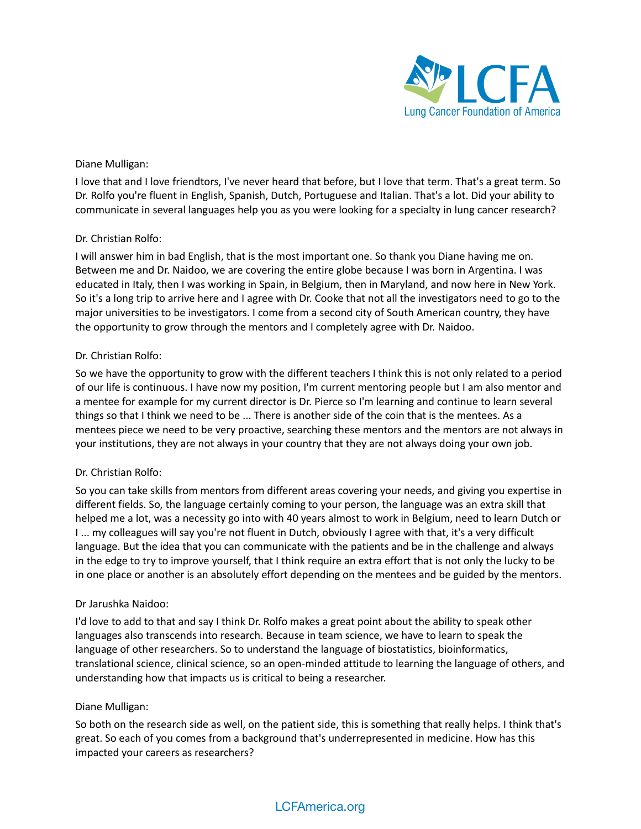

# Diane Mulligan:

I love that and I love friendtors, I've never heard that before, but I love that term. That's a great term. So Dr. Rolfo you're fluent in English, Spanish, Dutch, Portuguese and Italian. That's a lot. Did your ability to communicate in several languages help you as you were looking for a specialty in lung cancer research?

# Dr. Christian Rolfo:

I will answer him in bad English, that is the most important one. So thank you Diane having me on. Between me and Dr. Naidoo, we are covering the entire globe because I was born in Argentina. I was educated in Italy, then I was working in Spain, in Belgium, then in Maryland, and now here in New York. So it's a long trip to arrive here and I agree with Dr. Cooke that not all the investigators need to go to the major universities to be investigators. I come from a second city of South American country, they have the opportunity to grow through the mentors and I completely agree with Dr. Naidoo.

#### Dr. Christian Rolfo:

So we have the opportunity to grow with the different teachers I think this is not only related to a period of our life is continuous. I have now my position, I'm current mentoring people but I am also mentor and a mentee for example for my current director is Dr. Pierce so I'm learning and continue to learn several things so that I think we need to be ... There is another side of the coin that is the mentees. As a mentees piece we need to be very proactive, searching these mentors and the mentors are not always in your institutions, they are not always in your country that they are not always doing your own job.

# Dr. Christian Rolfo:

So you can take skills from mentors from different areas covering your needs, and giving you expertise in different fields. So, the language certainly coming to your person, the language was an extra skill that helped me a lot, was a necessity go into with 40 years almost to work in Belgium, need to learn Dutch or I ... my colleagues will say you're not fluent in Dutch, obviously I agree with that, it's a very difficult language. But the idea that you can communicate with the patients and be in the challenge and always in the edge to try to improve yourself, that I think require an extra effort that is not only the lucky to be in one place or another is an absolutely effort depending on the mentees and be guided by the mentors.

# Dr Jarushka Naidoo:

I'd love to add to that and say I think Dr. Rolfo makes a great point about the ability to speak other languages also transcends into research. Because in team science, we have to learn to speak the language of other researchers. So to understand the language of biostatistics, bioinformatics, translational science, clinical science, so an open-minded attitude to learning the language of others, and understanding how that impacts us is critical to being a researcher.

#### Diane Mulligan:

So both on the research side as well, on the patient side, this is something that really helps. I think that's great. So each of you comes from a background that's underrepresented in medicine. How has this impacted your careers as researchers?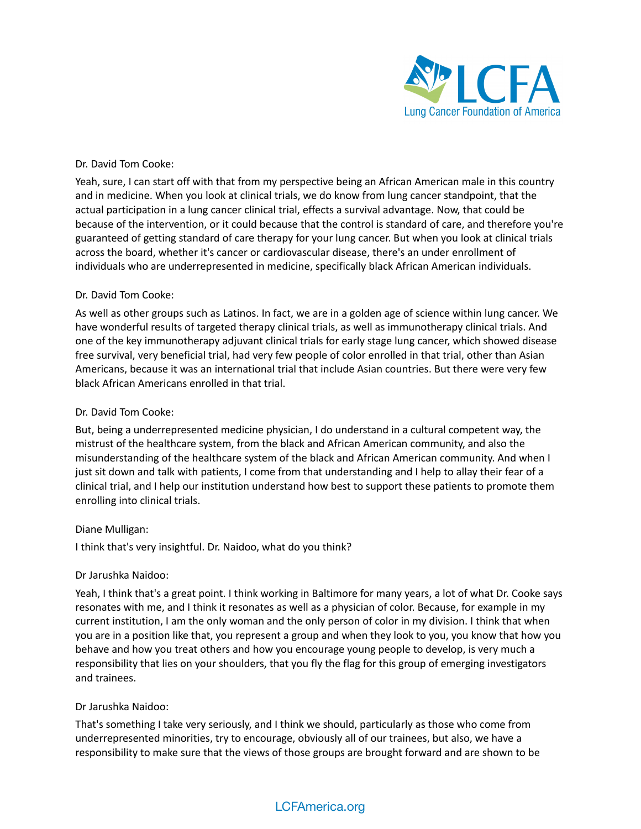

# Dr. David Tom Cooke:

Yeah, sure, I can start off with that from my perspective being an African American male in this country and in medicine. When you look at clinical trials, we do know from lung cancer standpoint, that the actual participation in a lung cancer clinical trial, effects a survival advantage. Now, that could be because of the intervention, or it could because that the control is standard of care, and therefore you're guaranteed of getting standard of care therapy for your lung cancer. But when you look at clinical trials across the board, whether it's cancer or cardiovascular disease, there's an under enrollment of individuals who are underrepresented in medicine, specifically black African American individuals.

#### Dr. David Tom Cooke:

As well as other groups such as Latinos. In fact, we are in a golden age of science within lung cancer. We have wonderful results of targeted therapy clinical trials, as well as immunotherapy clinical trials. And one of the key immunotherapy adjuvant clinical trials for early stage lung cancer, which showed disease free survival, very beneficial trial, had very few people of color enrolled in that trial, other than Asian Americans, because it was an international trial that include Asian countries. But there were very few black African Americans enrolled in that trial.

#### Dr. David Tom Cooke:

But, being a underrepresented medicine physician, I do understand in a cultural competent way, the mistrust of the healthcare system, from the black and African American community, and also the misunderstanding of the healthcare system of the black and African American community. And when I just sit down and talk with patients, I come from that understanding and I help to allay their fear of a clinical trial, and I help our institution understand how best to support these patients to promote them enrolling into clinical trials.

#### Diane Mulligan:

I think that's very insightful. Dr. Naidoo, what do you think?

# Dr Jarushka Naidoo:

Yeah, I think that's a great point. I think working in Baltimore for many years, a lot of what Dr. Cooke says resonates with me, and I think it resonates as well as a physician of color. Because, for example in my current institution, I am the only woman and the only person of color in my division. I think that when you are in a position like that, you represent a group and when they look to you, you know that how you behave and how you treat others and how you encourage young people to develop, is very much a responsibility that lies on your shoulders, that you fly the flag for this group of emerging investigators and trainees.

#### Dr Jarushka Naidoo:

That's something I take very seriously, and I think we should, particularly as those who come from underrepresented minorities, try to encourage, obviously all of our trainees, but also, we have a responsibility to make sure that the views of those groups are brought forward and are shown to be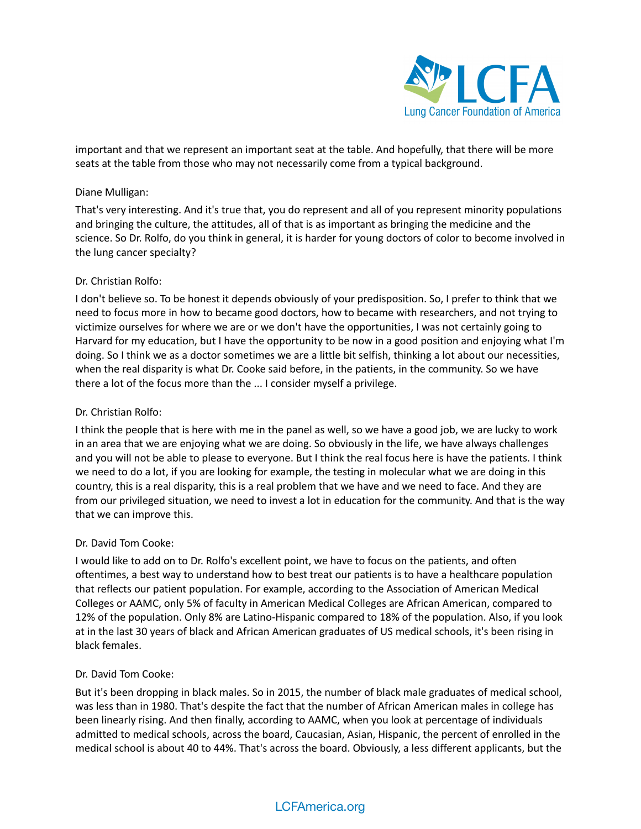

important and that we represent an important seat at the table. And hopefully, that there will be more seats at the table from those who may not necessarily come from a typical background.

#### Diane Mulligan:

That's very interesting. And it's true that, you do represent and all of you represent minority populations and bringing the culture, the attitudes, all of that is as important as bringing the medicine and the science. So Dr. Rolfo, do you think in general, it is harder for young doctors of color to become involved in the lung cancer specialty?

# Dr. Christian Rolfo:

I don't believe so. To be honest it depends obviously of your predisposition. So, I prefer to think that we need to focus more in how to became good doctors, how to became with researchers, and not trying to victimize ourselves for where we are or we don't have the opportunities, I was not certainly going to Harvard for my education, but I have the opportunity to be now in a good position and enjoying what I'm doing. So I think we as a doctor sometimes we are a little bit selfish, thinking a lot about our necessities, when the real disparity is what Dr. Cooke said before, in the patients, in the community. So we have there a lot of the focus more than the ... I consider myself a privilege.

# Dr. Christian Rolfo:

I think the people that is here with me in the panel as well, so we have a good job, we are lucky to work in an area that we are enjoying what we are doing. So obviously in the life, we have always challenges and you will not be able to please to everyone. But I think the real focus here is have the patients. I think we need to do a lot, if you are looking for example, the testing in molecular what we are doing in this country, this is a real disparity, this is a real problem that we have and we need to face. And they are from our privileged situation, we need to invest a lot in education for the community. And that is the way that we can improve this.

#### Dr. David Tom Cooke:

I would like to add on to Dr. Rolfo's excellent point, we have to focus on the patients, and often oftentimes, a best way to understand how to best treat our patients is to have a healthcare population that reflects our patient population. For example, according to the Association of American Medical Colleges or AAMC, only 5% of faculty in American Medical Colleges are African American, compared to 12% of the population. Only 8% are Latino-Hispanic compared to 18% of the population. Also, if you look at in the last 30 years of black and African American graduates of US medical schools, it's been rising in black females.

#### Dr. David Tom Cooke:

But it's been dropping in black males. So in 2015, the number of black male graduates of medical school, was less than in 1980. That's despite the fact that the number of African American males in college has been linearly rising. And then finally, according to AAMC, when you look at percentage of individuals admitted to medical schools, across the board, Caucasian, Asian, Hispanic, the percent of enrolled in the medical school is about 40 to 44%. That's across the board. Obviously, a less different applicants, but the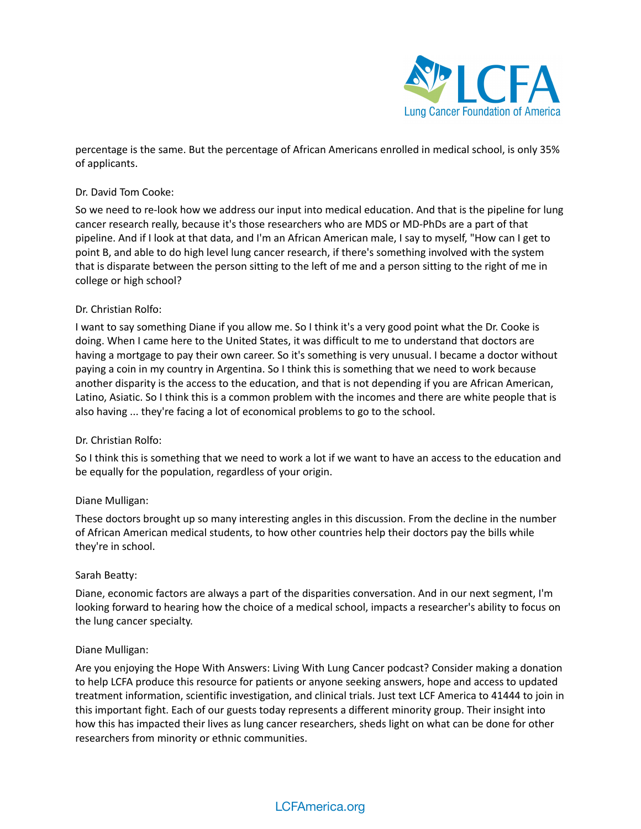

percentage is the same. But the percentage of African Americans enrolled in medical school, is only 35% of applicants.

# Dr. David Tom Cooke:

So we need to re-look how we address our input into medical education. And that is the pipeline for lung cancer research really, because it's those researchers who are MDS or MD-PhDs are a part of that pipeline. And if I look at that data, and I'm an African American male, I say to myself, "How can I get to point B, and able to do high level lung cancer research, if there's something involved with the system that is disparate between the person sitting to the left of me and a person sitting to the right of me in college or high school?

# Dr. Christian Rolfo:

I want to say something Diane if you allow me. So I think it's a very good point what the Dr. Cooke is doing. When I came here to the United States, it was difficult to me to understand that doctors are having a mortgage to pay their own career. So it's something is very unusual. I became a doctor without paying a coin in my country in Argentina. So I think this is something that we need to work because another disparity is the access to the education, and that is not depending if you are African American, Latino, Asiatic. So I think this is a common problem with the incomes and there are white people that is also having ... they're facing a lot of economical problems to go to the school.

# Dr. Christian Rolfo:

So I think this is something that we need to work a lot if we want to have an access to the education and be equally for the population, regardless of your origin.

# Diane Mulligan:

These doctors brought up so many interesting angles in this discussion. From the decline in the number of African American medical students, to how other countries help their doctors pay the bills while they're in school.

# Sarah Beatty:

Diane, economic factors are always a part of the disparities conversation. And in our next segment, I'm looking forward to hearing how the choice of a medical school, impacts a researcher's ability to focus on the lung cancer specialty.

# Diane Mulligan:

Are you enjoying the Hope With Answers: Living With Lung Cancer podcast? Consider making a donation to help LCFA produce this resource for patients or anyone seeking answers, hope and access to updated treatment information, scientific investigation, and clinical trials. Just text LCF America to 41444 to join in this important fight. Each of our guests today represents a different minority group. Their insight into how this has impacted their lives as lung cancer researchers, sheds light on what can be done for other researchers from minority or ethnic communities.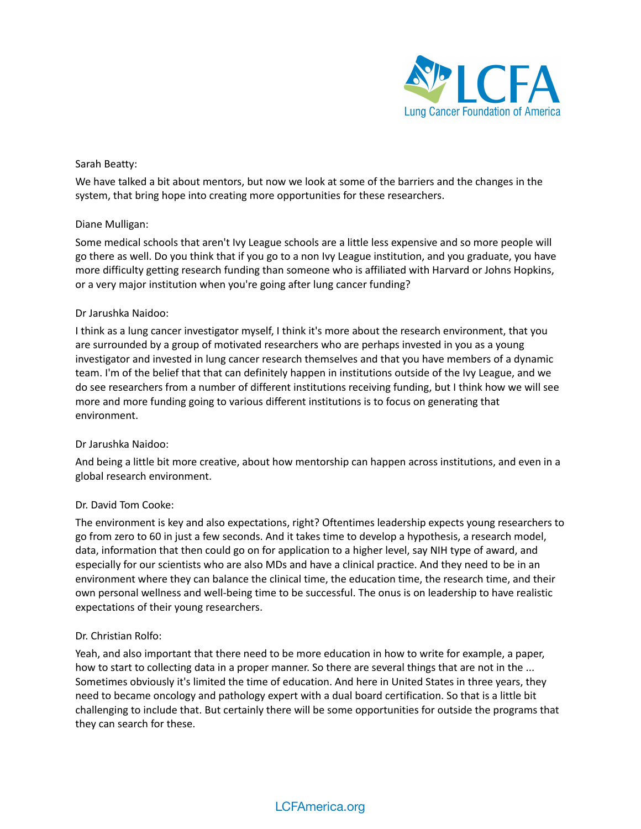

# Sarah Beatty:

We have talked a bit about mentors, but now we look at some of the barriers and the changes in the system, that bring hope into creating more opportunities for these researchers.

# Diane Mulligan:

Some medical schools that aren't Ivy League schools are a little less expensive and so more people will go there as well. Do you think that if you go to a non Ivy League institution, and you graduate, you have more difficulty getting research funding than someone who is affiliated with Harvard or Johns Hopkins, or a very major institution when you're going after lung cancer funding?

#### Dr Jarushka Naidoo:

I think as a lung cancer investigator myself, I think it's more about the research environment, that you are surrounded by a group of motivated researchers who are perhaps invested in you as a young investigator and invested in lung cancer research themselves and that you have members of a dynamic team. I'm of the belief that that can definitely happen in institutions outside of the Ivy League, and we do see researchers from a number of different institutions receiving funding, but I think how we will see more and more funding going to various different institutions is to focus on generating that environment.

# Dr Jarushka Naidoo:

And being a little bit more creative, about how mentorship can happen across institutions, and even in a global research environment.

# Dr. David Tom Cooke:

The environment is key and also expectations, right? Oftentimes leadership expects young researchers to go from zero to 60 in just a few seconds. And it takes time to develop a hypothesis, a research model, data, information that then could go on for application to a higher level, say NIH type of award, and especially for our scientists who are also MDs and have a clinical practice. And they need to be in an environment where they can balance the clinical time, the education time, the research time, and their own personal wellness and well-being time to be successful. The onus is on leadership to have realistic expectations of their young researchers.

# Dr. Christian Rolfo:

Yeah, and also important that there need to be more education in how to write for example, a paper, how to start to collecting data in a proper manner. So there are several things that are not in the ... Sometimes obviously it's limited the time of education. And here in United States in three years, they need to became oncology and pathology expert with a dual board certification. So that is a little bit challenging to include that. But certainly there will be some opportunities for outside the programs that they can search for these.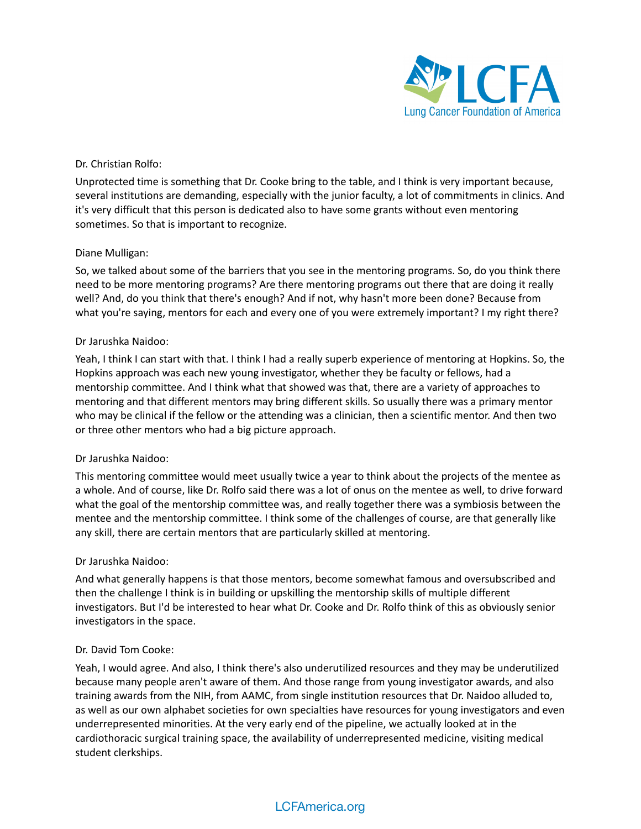

# Dr. Christian Rolfo:

Unprotected time is something that Dr. Cooke bring to the table, and I think is very important because, several institutions are demanding, especially with the junior faculty, a lot of commitments in clinics. And it's very difficult that this person is dedicated also to have some grants without even mentoring sometimes. So that is important to recognize.

# Diane Mulligan:

So, we talked about some of the barriers that you see in the mentoring programs. So, do you think there need to be more mentoring programs? Are there mentoring programs out there that are doing it really well? And, do you think that there's enough? And if not, why hasn't more been done? Because from what you're saying, mentors for each and every one of you were extremely important? I my right there?

#### Dr Jarushka Naidoo:

Yeah, I think I can start with that. I think I had a really superb experience of mentoring at Hopkins. So, the Hopkins approach was each new young investigator, whether they be faculty or fellows, had a mentorship committee. And I think what that showed was that, there are a variety of approaches to mentoring and that different mentors may bring different skills. So usually there was a primary mentor who may be clinical if the fellow or the attending was a clinician, then a scientific mentor. And then two or three other mentors who had a big picture approach.

# Dr Jarushka Naidoo:

This mentoring committee would meet usually twice a year to think about the projects of the mentee as a whole. And of course, like Dr. Rolfo said there was a lot of onus on the mentee as well, to drive forward what the goal of the mentorship committee was, and really together there was a symbiosis between the mentee and the mentorship committee. I think some of the challenges of course, are that generally like any skill, there are certain mentors that are particularly skilled at mentoring.

# Dr Jarushka Naidoo:

And what generally happens is that those mentors, become somewhat famous and oversubscribed and then the challenge I think is in building or upskilling the mentorship skills of multiple different investigators. But I'd be interested to hear what Dr. Cooke and Dr. Rolfo think of this as obviously senior investigators in the space.

# Dr. David Tom Cooke:

Yeah, I would agree. And also, I think there's also underutilized resources and they may be underutilized because many people aren't aware of them. And those range from young investigator awards, and also training awards from the NIH, from AAMC, from single institution resources that Dr. Naidoo alluded to, as well as our own alphabet societies for own specialties have resources for young investigators and even underrepresented minorities. At the very early end of the pipeline, we actually looked at in the cardiothoracic surgical training space, the availability of underrepresented medicine, visiting medical student clerkships.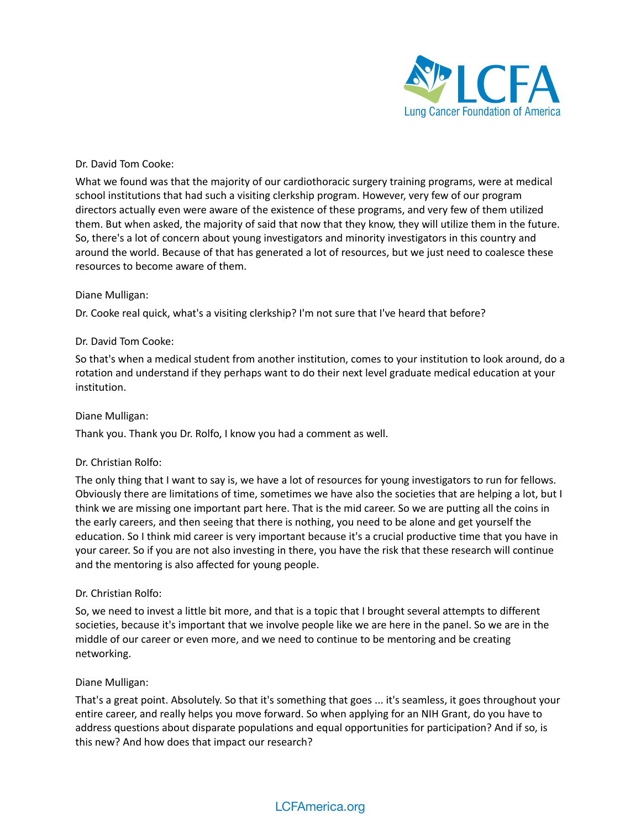

# Dr. David Tom Cooke:

What we found was that the majority of our cardiothoracic surgery training programs, were at medical school institutions that had such a visiting clerkship program. However, very few of our program directors actually even were aware of the existence of these programs, and very few of them utilized them. But when asked, the majority of said that now that they know, they will utilize them in the future. So, there's a lot of concern about young investigators and minority investigators in this country and around the world. Because of that has generated a lot of resources, but we just need to coalesce these resources to become aware of them.

#### Diane Mulligan:

Dr. Cooke real quick, what's a visiting clerkship? I'm not sure that I've heard that before?

#### Dr. David Tom Cooke:

So that's when a medical student from another institution, comes to your institution to look around, do a rotation and understand if they perhaps want to do their next level graduate medical education at your institution.

#### Diane Mulligan:

Thank you. Thank you Dr. Rolfo, I know you had a comment as well.

# Dr. Christian Rolfo:

The only thing that I want to say is, we have a lot of resources for young investigators to run for fellows. Obviously there are limitations of time, sometimes we have also the societies that are helping a lot, but I think we are missing one important part here. That is the mid career. So we are putting all the coins in the early careers, and then seeing that there is nothing, you need to be alone and get yourself the education. So I think mid career is very important because it's a crucial productive time that you have in your career. So if you are not also investing in there, you have the risk that these research will continue and the mentoring is also affected for young people.

# Dr. Christian Rolfo:

So, we need to invest a little bit more, and that is a topic that I brought several attempts to different societies, because it's important that we involve people like we are here in the panel. So we are in the middle of our career or even more, and we need to continue to be mentoring and be creating networking.

#### Diane Mulligan:

That's a great point. Absolutely. So that it's something that goes ... it's seamless, it goes throughout your entire career, and really helps you move forward. So when applying for an NIH Grant, do you have to address questions about disparate populations and equal opportunities for participation? And if so, is this new? And how does that impact our research?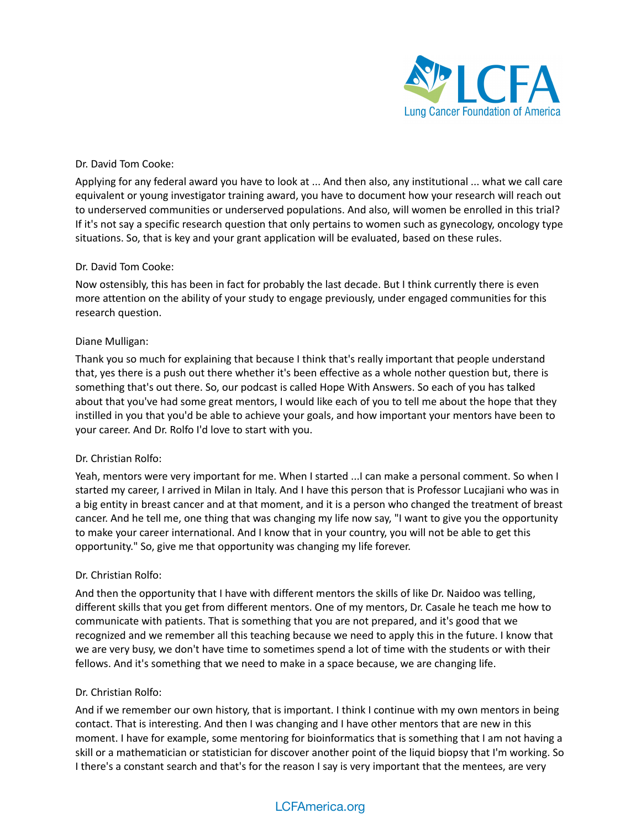

# Dr. David Tom Cooke:

Applying for any federal award you have to look at ... And then also, any institutional ... what we call care equivalent or young investigator training award, you have to document how your research will reach out to underserved communities or underserved populations. And also, will women be enrolled in this trial? If it's not say a specific research question that only pertains to women such as gynecology, oncology type situations. So, that is key and your grant application will be evaluated, based on these rules.

#### Dr. David Tom Cooke:

Now ostensibly, this has been in fact for probably the last decade. But I think currently there is even more attention on the ability of your study to engage previously, under engaged communities for this research question.

#### Diane Mulligan:

Thank you so much for explaining that because I think that's really important that people understand that, yes there is a push out there whether it's been effective as a whole nother question but, there is something that's out there. So, our podcast is called Hope With Answers. So each of you has talked about that you've had some great mentors, I would like each of you to tell me about the hope that they instilled in you that you'd be able to achieve your goals, and how important your mentors have been to your career. And Dr. Rolfo I'd love to start with you.

# Dr. Christian Rolfo:

Yeah, mentors were very important for me. When I started ...I can make a personal comment. So when I started my career, I arrived in Milan in Italy. And I have this person that is Professor Lucajiani who was in a big entity in breast cancer and at that moment, and it is a person who changed the treatment of breast cancer. And he tell me, one thing that was changing my life now say, "I want to give you the opportunity to make your career international. And I know that in your country, you will not be able to get this opportunity." So, give me that opportunity was changing my life forever.

# Dr. Christian Rolfo:

And then the opportunity that I have with different mentors the skills of like Dr. Naidoo was telling, different skills that you get from different mentors. One of my mentors, Dr. Casale he teach me how to communicate with patients. That is something that you are not prepared, and it's good that we recognized and we remember all this teaching because we need to apply this in the future. I know that we are very busy, we don't have time to sometimes spend a lot of time with the students or with their fellows. And it's something that we need to make in a space because, we are changing life.

#### Dr. Christian Rolfo:

And if we remember our own history, that is important. I think I continue with my own mentors in being contact. That is interesting. And then I was changing and I have other mentors that are new in this moment. I have for example, some mentoring for bioinformatics that is something that I am not having a skill or a mathematician or statistician for discover another point of the liquid biopsy that I'm working. So I there's a constant search and that's for the reason I say is very important that the mentees, are very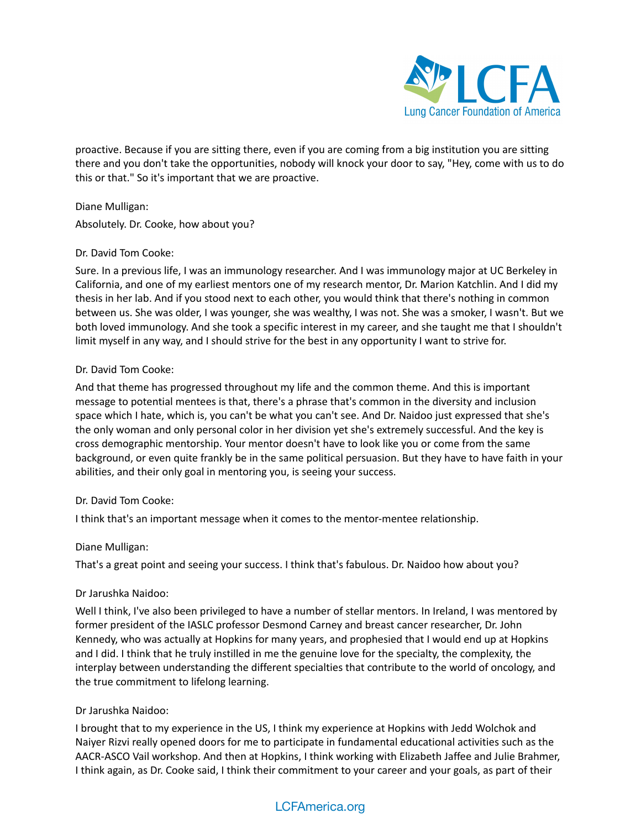

proactive. Because if you are sitting there, even if you are coming from a big institution you are sitting there and you don't take the opportunities, nobody will knock your door to say, "Hey, come with us to do this or that." So it's important that we are proactive.

Diane Mulligan: Absolutely. Dr. Cooke, how about you?

# Dr. David Tom Cooke:

Sure. In a previous life, I was an immunology researcher. And I was immunology major at UC Berkeley in California, and one of my earliest mentors one of my research mentor, Dr. Marion Katchlin. And I did my thesis in her lab. And if you stood next to each other, you would think that there's nothing in common between us. She was older, I was younger, she was wealthy, I was not. She was a smoker, I wasn't. But we both loved immunology. And she took a specific interest in my career, and she taught me that I shouldn't limit myself in any way, and I should strive for the best in any opportunity I want to strive for.

# Dr. David Tom Cooke:

And that theme has progressed throughout my life and the common theme. And this is important message to potential mentees is that, there's a phrase that's common in the diversity and inclusion space which I hate, which is, you can't be what you can't see. And Dr. Naidoo just expressed that she's the only woman and only personal color in her division yet she's extremely successful. And the key is cross demographic mentorship. Your mentor doesn't have to look like you or come from the same background, or even quite frankly be in the same political persuasion. But they have to have faith in your abilities, and their only goal in mentoring you, is seeing your success.

# Dr. David Tom Cooke:

I think that's an important message when it comes to the mentor-mentee relationship.

# Diane Mulligan:

That's a great point and seeing your success. I think that's fabulous. Dr. Naidoo how about you?

# Dr Jarushka Naidoo:

Well I think, I've also been privileged to have a number of stellar mentors. In Ireland, I was mentored by former president of the IASLC professor Desmond Carney and breast cancer researcher, Dr. John Kennedy, who was actually at Hopkins for many years, and prophesied that I would end up at Hopkins and I did. I think that he truly instilled in me the genuine love for the specialty, the complexity, the interplay between understanding the different specialties that contribute to the world of oncology, and the true commitment to lifelong learning.

# Dr Jarushka Naidoo:

I brought that to my experience in the US, I think my experience at Hopkins with Jedd Wolchok and Naiyer Rizvi really opened doors for me to participate in fundamental educational activities such as the AACR-ASCO Vail workshop. And then at Hopkins, I think working with Elizabeth Jaffee and Julie Brahmer, I think again, as Dr. Cooke said, I think their commitment to your career and your goals, as part of their